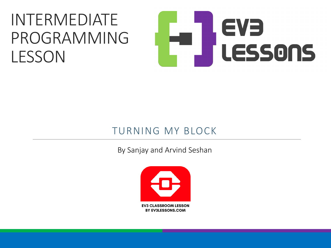#### INTERMEDIATE PROGRAMMING LESSON

# EVE LESSONS

#### TURNING MY BLOCK

By Sanjay and Arvind Seshan

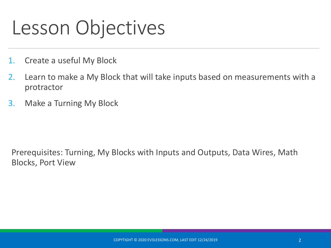#### Lesson Objectives

- 1. Create a useful My Block
- 2. Learn to make a My Block that will take inputs based on measurements with a protractor
- 3. Make a Turning My Block

Prerequisites: Turning, My Blocks with Inputs and Outputs, Data Wires, Math Blocks, Port View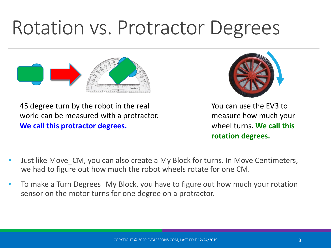#### Rotation vs. Protractor Degrees



45 degree turn by the robot in the real world can be measured with a protractor. **We call this protractor degrees.**



You can use the EV3 to measure how much your wheel turns. **We call this rotation degrees.**

- Just like Move\_CM, you can also create a My Block for turns. In Move Centimeters, we had to figure out how much the robot wheels rotate for one CM.
- To make a Turn Degrees My Block, you have to figure out how much your rotation sensor on the motor turns for one degree on a protractor.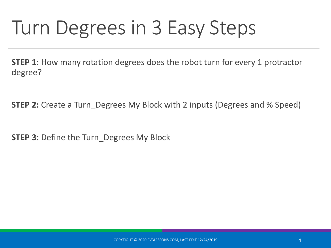### Turn Degrees in 3 Easy Steps

**STEP 1:** How many rotation degrees does the robot turn for every 1 protractor degree?

**STEP 2:** Create a Turn Degrees My Block with 2 inputs (Degrees and % Speed)

**STEP 3:** Define the Turn\_Degrees My Block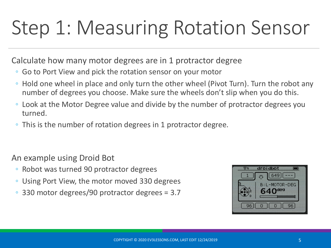# Step 1: Measuring Rotation Sensor

Calculate how many motor degrees are in 1 protractor degree

- Go to Port View and pick the rotation sensor on your motor
- Hold one wheel in place and only turn the other wheel (Pivot Turn). Turn the robot any number of degrees you choose. Make sure the wheels don't slip when you do this.
- Look at the Motor Degree value and divide by the number of protractor degrees you turned.
- This is the number of rotation degrees in 1 protractor degree.

An example using Droid Bot

- Robot was turned 90 protractor degrees
- Using Port View, the motor moved 330 degrees
- 330 motor degrees/90 protractor degrees = 3.7

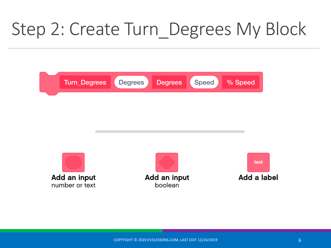#### Step 2: Create Turn\_Degrees My Block

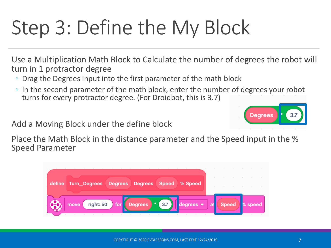# Step 3: Define the My Block

Use a Multiplication Math Block to Calculate the number of degrees the robot will turn in 1 protractor degree

- Drag the Degrees input into the first parameter of the math block
- In the second parameter of the math block, enter the number of degrees your robot turns for every protractor degree. (For Droidbot, this is 3.7)

Add a Moving Block under the define block

Place the Math Block in the distance parameter and the Speed input in the % Speed Parameter



Degrees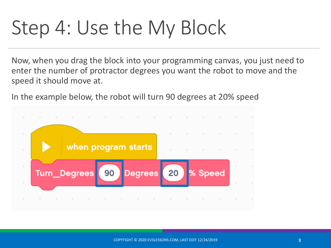# Step 4: Use the My Block

Now, when you drag the block into your programming canvas, you just need to enter the number of protractor degrees you want the robot to move and the speed it should move at.

In the example below, the robot will turn 90 degrees at 20% speed

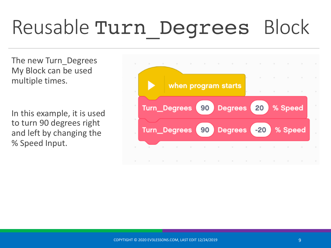# Reusable Turn\_Degrees Block

The new Turn\_Degrees My Block can be used multiple times.

In this example, it is used to turn 90 degrees right and left by changing the % Speed Input.

![](_page_8_Figure_3.jpeg)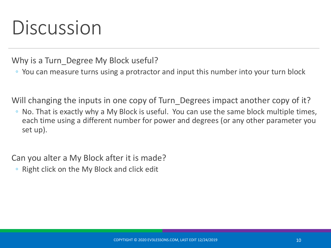### Discussion

Why is a Turn Degree My Block useful?

◦ You can measure turns using a protractor and input this number into your turn block

Will changing the inputs in one copy of Turn\_Degrees impact another copy of it?

◦ No. That is exactly why a My Block is useful. You can use the same block multiple times, each time using a different number for power and degrees (or any other parameter you set up).

Can you alter a My Block after it is made?

◦ Right click on the My Block and click edit